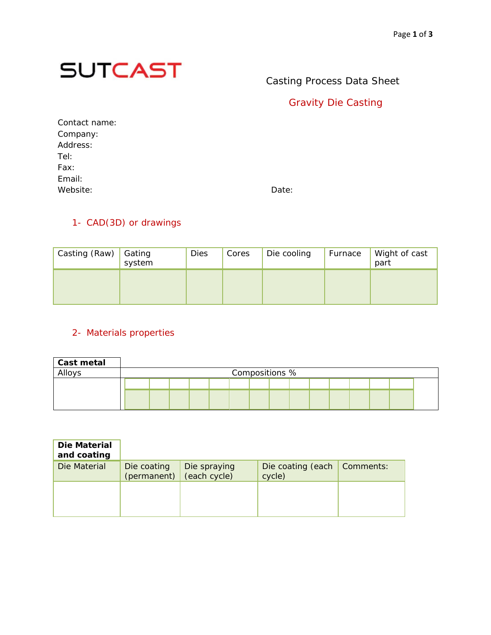

# Casting Process Data Sheet

### Gravity Die Casting

| Contact name: |       |
|---------------|-------|
| Company:      |       |
| Address:      |       |
| Tel:          |       |
| Fax:          |       |
| Email:        |       |
| Website:      | Date: |

#### 1- CAD(3D) or drawings

| Casting (Raw) Gating | system | Dies | Cores | Die cooling | Furnace | Wight of cast<br>part |
|----------------------|--------|------|-------|-------------|---------|-----------------------|
|                      |        |      |       |             |         |                       |

#### 2- Materials properties

| Cast metal |  |  |  |                |  |  |  |  |
|------------|--|--|--|----------------|--|--|--|--|
| Alloys     |  |  |  | Compositions % |  |  |  |  |
|            |  |  |  |                |  |  |  |  |
|            |  |  |  |                |  |  |  |  |
|            |  |  |  |                |  |  |  |  |

| Die Material<br>and coating |                            |                              |                             |           |
|-----------------------------|----------------------------|------------------------------|-----------------------------|-----------|
| Die Material                | Die coating<br>(permanent) | Die spraying<br>(each cycle) | Die coating (each<br>cycle) | Comments: |
|                             |                            |                              |                             |           |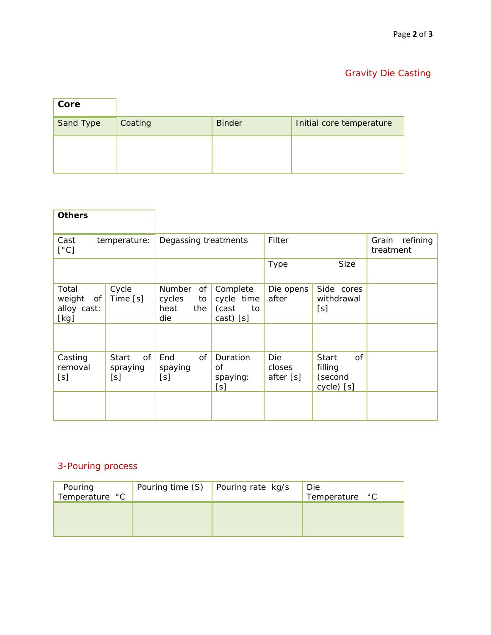# Gravity Die Casting

| Core      |         |               |                          |
|-----------|---------|---------------|--------------------------|
| Sand Type | Coating | <b>Binder</b> | Initial core temperature |
|           |         |               |                          |
|           |         |               |                          |

| <b>Others</b>                                |                                       |                                                           |                                                    |                            |                                                 |                                |
|----------------------------------------------|---------------------------------------|-----------------------------------------------------------|----------------------------------------------------|----------------------------|-------------------------------------------------|--------------------------------|
| Cast<br>[°C]                                 | temperature:                          | Degassing treatments                                      |                                                    | Filter                     |                                                 | refining<br>Grain<br>treatment |
|                                              |                                       |                                                           |                                                    | <b>Type</b>                | <b>Size</b>                                     |                                |
| Total<br>weight<br>of<br>alloy cast:<br>[kg] | Cycle<br>Time [s]                     | <b>Number</b><br>of<br>cycles<br>to<br>heat<br>the<br>die | Complete<br>cycle time<br>(cast<br>to<br>cast) [s] | Die opens<br>after         | Side cores<br>withdrawal<br>[s]                 |                                |
| Casting<br>removal<br>[s]                    | <b>Start</b><br>of<br>spraying<br>[s] | End<br>of<br>spaying<br>[s]                               | Duration<br>of<br>spaying:<br>[s]                  | Die<br>closes<br>after [s] | 0f<br>Start<br>filling<br>(second<br>cycle) [s] |                                |

### 3-Pouring process

| Pouring<br>Temperature °C | Pouring time (S) | Pouring rate kg/s | Die<br>Temperature °C |
|---------------------------|------------------|-------------------|-----------------------|
|                           |                  |                   |                       |